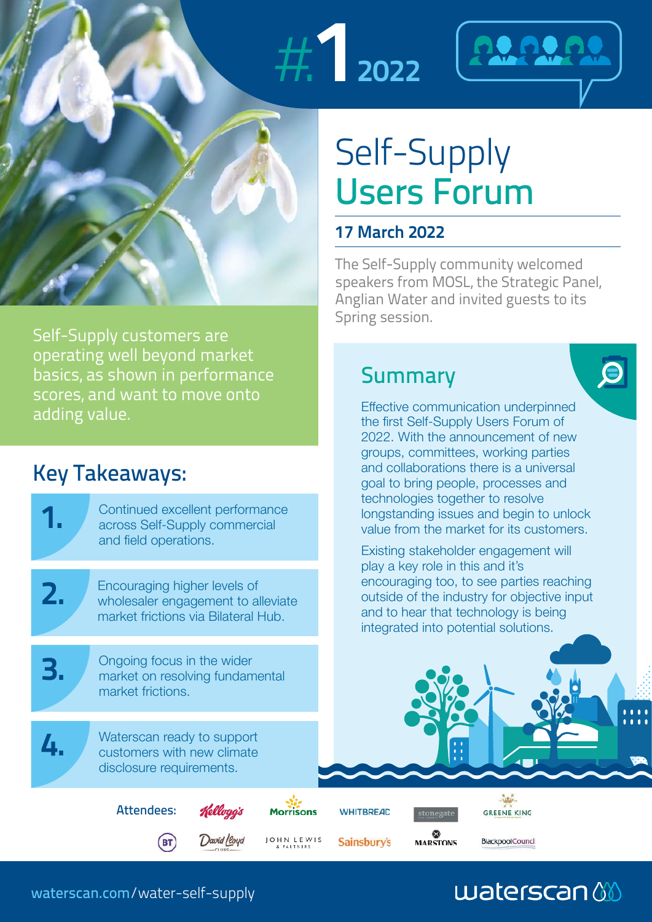



 $\overline{\mathbf{C}}$ 

# Self-Supply Users Forum

### **17 March 2022**

**Summary** 

The Self-Supply community welcomed speakers from MOSL, the Strategic Panel, Anglian Water and invited guests to its Spring session.

Effective communication underpinned the first Self-Supply Users Forum of 2022. With the announcement of new groups, committees, working parties and collaborations there is a universal

Self-Supply customers are operating well beyond market basics, as shown in performance scores, and want to move onto adding value.

## Key Takeaways:

| <b>IVEY TURCUPPUYS!</b> |                   |                                                                                                                                                                                                                                                                                                                                                                                      |            | goal to bring people, processes and |                                                                                                                                                                                                                                                                                                                                                                                |                         |  |  |  |
|-------------------------|-------------------|--------------------------------------------------------------------------------------------------------------------------------------------------------------------------------------------------------------------------------------------------------------------------------------------------------------------------------------------------------------------------------------|------------|-------------------------------------|--------------------------------------------------------------------------------------------------------------------------------------------------------------------------------------------------------------------------------------------------------------------------------------------------------------------------------------------------------------------------------|-------------------------|--|--|--|
|                         |                   | Continued excellent performance<br>across Self-Supply commercial<br>and field operations.<br>Encouraging higher levels of<br>wholesaler engagement to alleviate<br>market frictions via Bilateral Hub.<br>Ongoing focus in the wider<br>market on resolving fundamental<br>market frictions.<br>Waterscan ready to support<br>customers with new climate<br>disclosure requirements. |            |                                     | technologies together to resolve<br>longstanding issues and begin to unlock<br>value from the market for its customers.<br>Existing stakeholder engagement will<br>play a key role in this and it's<br>encouraging too, to see parties reaching<br>outside of the industry for objective input<br>and to hear that technology is being<br>integrated into potential solutions. |                         |  |  |  |
|                         |                   |                                                                                                                                                                                                                                                                                                                                                                                      |            |                                     |                                                                                                                                                                                                                                                                                                                                                                                |                         |  |  |  |
|                         |                   |                                                                                                                                                                                                                                                                                                                                                                                      |            |                                     |                                                                                                                                                                                                                                                                                                                                                                                |                         |  |  |  |
|                         |                   |                                                                                                                                                                                                                                                                                                                                                                                      |            |                                     |                                                                                                                                                                                                                                                                                                                                                                                |                         |  |  |  |
|                         | <b>Attendees:</b> |                                                                                                                                                                                                                                                                                                                                                                                      | Morrisons  | <b>WHITBREAD</b>                    | stonegate                                                                                                                                                                                                                                                                                                                                                                      | GREENE KING             |  |  |  |
|                         | BT)               | David Lloyd                                                                                                                                                                                                                                                                                                                                                                          | JOHN LEWIS | <b>Sainsbury's</b>                  | <b>MARSTONS</b>                                                                                                                                                                                                                                                                                                                                                                | <b>BlackpoolCouncil</b> |  |  |  |

## waterscan

waterscan.com/water-self-supply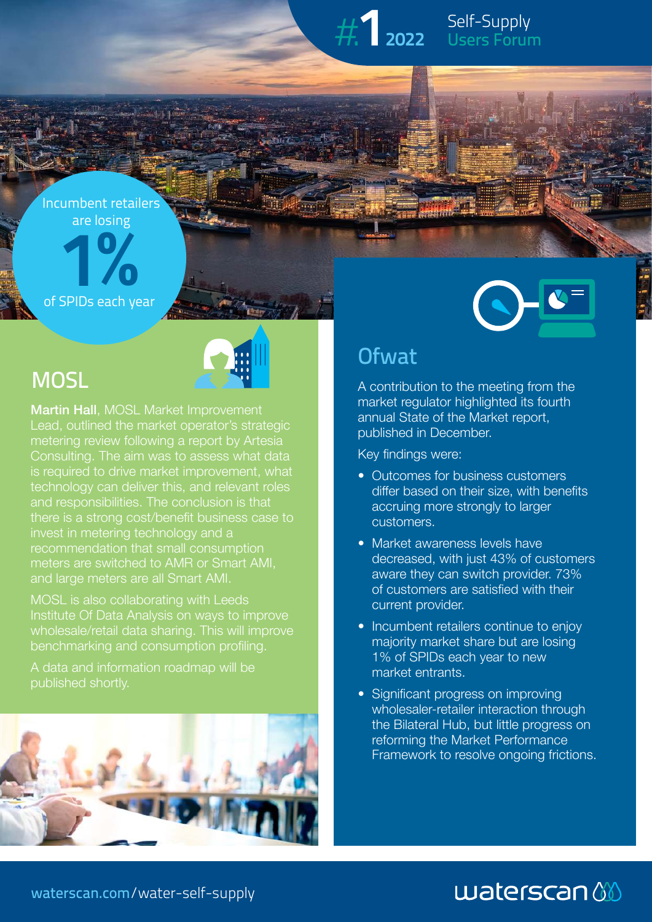# Self-Supply #.**1<sup>2022</sup>** Users Forum

# are losing<br> **1** Incumbent retailers

of SPIDs each year



**Martin Hall, MOSL Market Improvement** Lead, outlined the market operator's strategic metering review following a report by Artesia technology can deliver this, and relevant roles and responsibilities. The conclusion is that invest in metering technology and a recommendation that small consumption meters are switched to AMR or Smart AMI, and large meters are all Smart AMI.

MOSL is also collaborating with Leeds wholesale/retail data sharing. This will improve benchmarking and consumption profiling.

A data and information roadmap will be published shortly.





### **Ofwat**

A contribution to the meeting from the market regulator highlighted its fourth annual State of the Market report, published in December.

Key findings were:

- Outcomes for business customers differ based on their size, with benefits accruing more strongly to larger customers.
- Market awareness levels have decreased, with just 43% of customers aware they can switch provider. 73% of customers are satisfied with their current provider.
- Incumbent retailers continue to enjoy majority market share but are losing 1% of SPIDs each year to new market entrants.
- Significant progress on improving wholesaler-retailer interaction through the Bilateral Hub, but little progress on reforming the Market Performance Framework to resolve ongoing frictions.

# $waterscan$

waterscan.com/water-self-supply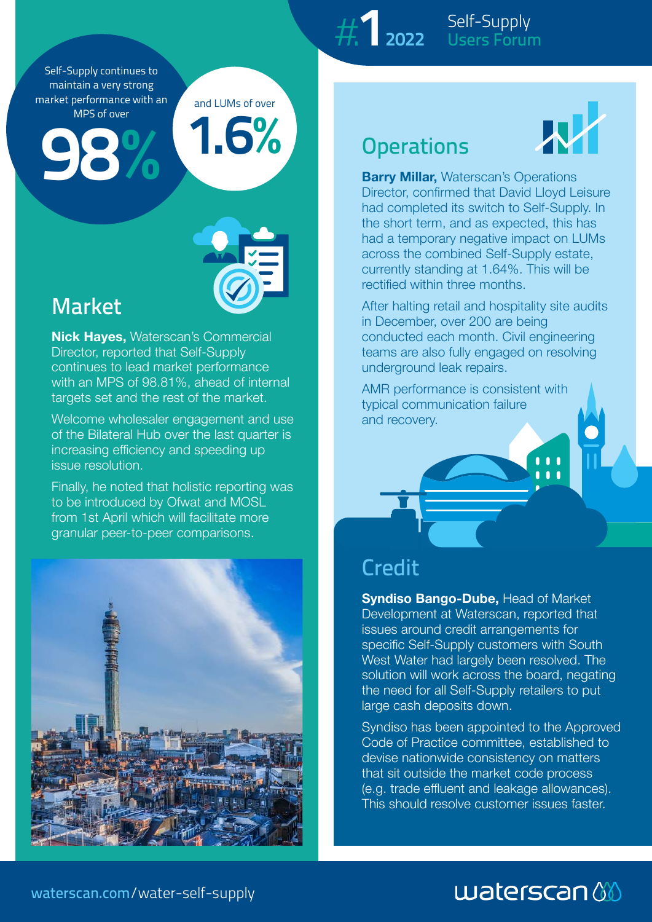Self-Supply continues to maintain a very strong market performance with an MPS of over

**98** WPS of over



and LUMs of over

**1.6%**

### Market

**Nick Hayes,** Waterscan's Commercial Director, reported that Self-Supply continues to lead market performance with an MPS of 98.81%, ahead of internal targets set and the rest of the market.

Welcome wholesaler engagement and use of the Bilateral Hub over the last quarter is increasing efficiency and speeding up issue resolution.

Finally, he noted that holistic reporting was to be introduced by Ofwat and MOSL from 1st April which will facilitate more granular peer-to-peer comparisons.



Self-Supply #.**1<sup>2022</sup>** Users Forum

# **Operations**



**Barry Millar, Waterscan's Operations** Director, confirmed that David Lloyd Leisure had completed its switch to Self-Supply. In the short term, and as expected, this has had a temporary negative impact on LUMs across the combined Self-Supply estate, currently standing at 1.64%. This will be rectified within three months.

After halting retail and hospitality site audits in December, over 200 are being conducted each month. Civil engineering teams are also fully engaged on resolving underground leak repairs.

AMR performance is consistent with typical communication failure and recovery.

### Credit

**Syndiso Bango-Dube, Head of Market** Development at Waterscan, reported that issues around credit arrangements for specific Self-Supply customers with South West Water had largely been resolved. The solution will work across the board, negating the need for all Self-Supply retailers to put large cash deposits down.

Syndiso has been appointed to the Approved Code of Practice committee, established to devise nationwide consistency on matters that sit outside the market code process (e.g. trade effluent and leakage allowances). This should resolve customer issues faster.